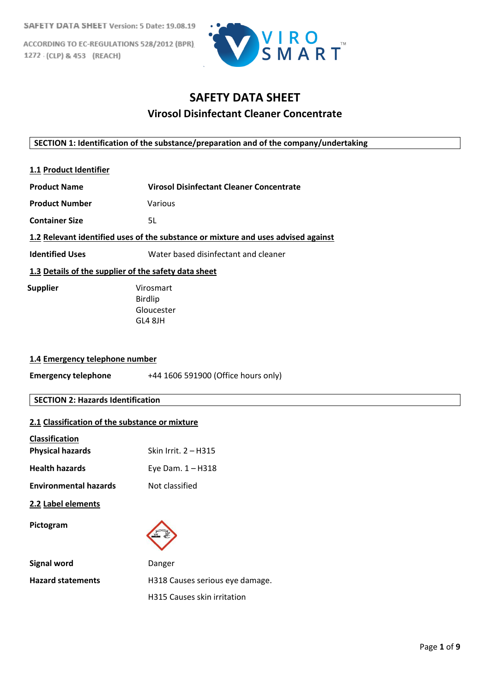ACCORDING TO EC-REGULATIONS 528/2012 (BPR) 1272 (CLP) & 453 (REACH)



# **SAFETY DATA SHEET Virosol Disinfectant Cleaner Concentrate**

## **SECTION 1: Identification of the substance/preparation and of the company/undertaking**

- **1.1 Product Identifier**
- **Product Name Virosol Disinfectant Cleaner Concentrate**
- **Product Number** Various
- **Container Size** 5L

# **1.2 Relevant identified uses of the substance or mixture and uses advised against**

**Identified Uses** Water based disinfectant and cleaner

# **1.3 Details of the supplier of the safety data sheet**

 **Supplier** Virosmart Birdlip Gloucester GL4 8JH

#### **1.4 Emergency telephone number**

**Emergency telephone** +44 1606 591900 (Office hours only)

# **SECTION 2: Hazards Identification**

#### **2.1 Classification of the substance or mixture**

| <b>Classification</b>        |                                 |
|------------------------------|---------------------------------|
| <b>Physical hazards</b>      | Skin Irrit. 2 – H315            |
| <b>Health hazards</b>        | Eye Dam. $1 - H318$             |
| <b>Environmental hazards</b> | Not classified                  |
| 2.2 Label elements           |                                 |
| Pictogram                    |                                 |
| <b>Signal word</b>           | Danger                          |
| <b>Hazard statements</b>     | H318 Causes serious eye damage. |
|                              | H315 Causes skin irritation     |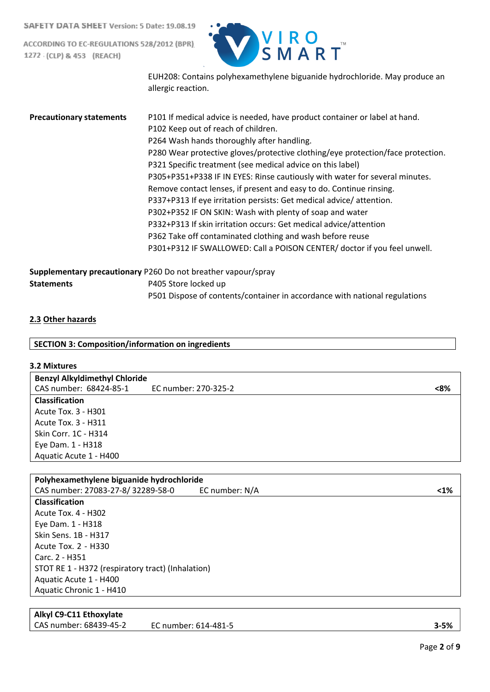ACCORDING TO EC-REGULATIONS 528/2012 (BPR) 1272 (CLP) & 453 (REACH)



EUH208: Contains polyhexamethylene biguanide hydrochloride. May produce an allergic reaction.

| <b>Precautionary statements</b> | P101 If medical advice is needed, have product container or label at hand.<br>P102 Keep out of reach of children.<br>P264 Wash hands thoroughly after handling.<br>P280 Wear protective gloves/protective clothing/eye protection/face protection.<br>P321 Specific treatment (see medical advice on this label)<br>P305+P351+P338 IF IN EYES: Rinse cautiously with water for several minutes.<br>Remove contact lenses, if present and easy to do. Continue rinsing.<br>P337+P313 If eye irritation persists: Get medical advice/attention.<br>P302+P352 IF ON SKIN: Wash with plenty of soap and water<br>P332+P313 If skin irritation occurs: Get medical advice/attention<br>P362 Take off contaminated clothing and wash before reuse<br>P301+P312 IF SWALLOWED: Call a POISON CENTER/ doctor if you feel unwell. |
|---------------------------------|-------------------------------------------------------------------------------------------------------------------------------------------------------------------------------------------------------------------------------------------------------------------------------------------------------------------------------------------------------------------------------------------------------------------------------------------------------------------------------------------------------------------------------------------------------------------------------------------------------------------------------------------------------------------------------------------------------------------------------------------------------------------------------------------------------------------------|
|                                 | Supplementary precautionary P260 Do not breather vapour/spray                                                                                                                                                                                                                                                                                                                                                                                                                                                                                                                                                                                                                                                                                                                                                           |
| <b>Statements</b>               | P405 Store locked up                                                                                                                                                                                                                                                                                                                                                                                                                                                                                                                                                                                                                                                                                                                                                                                                    |
|                                 | P501 Dispose of contents/container in accordance with national regulations                                                                                                                                                                                                                                                                                                                                                                                                                                                                                                                                                                                                                                                                                                                                              |

# **2.3 Other hazards**

# **SECTION 3: Composition/information on ingredients**

# **3.2 Mixtures**

| <b>Benzyl Alkyldimethyl Chloride</b> |                      |     |
|--------------------------------------|----------------------|-----|
| CAS number: 68424-85-1               | EC number: 270-325-2 | <8% |
| <b>Classification</b>                |                      |     |
| Acute Tox. 3 - H301                  |                      |     |
| Acute Tox. 3 - H311                  |                      |     |
| Skin Corr. 1C - H314                 |                      |     |
| Eye Dam. 1 - H318                    |                      |     |
| Aquatic Acute 1 - H400               |                      |     |

| Polyhexamethylene biguanide hydrochloride         |                |      |
|---------------------------------------------------|----------------|------|
| CAS number: 27083-27-8/32289-58-0                 | EC number: N/A | $1%$ |
| <b>Classification</b>                             |                |      |
| Acute Tox. 4 - H302                               |                |      |
| Eye Dam. 1 - H318                                 |                |      |
| Skin Sens. 1B - H317                              |                |      |
| Acute Tox. 2 - H330                               |                |      |
| Carc. 2 - H351                                    |                |      |
| STOT RE 1 - H372 (respiratory tract) (Inhalation) |                |      |
| Aquatic Acute 1 - H400                            |                |      |
| Aquatic Chronic 1 - H410                          |                |      |
|                                                   |                |      |

# **Alkyl C9-C11 Ethoxylate**

CAS number: 68439-45-2 EC number: 614-481-5 **3-5%**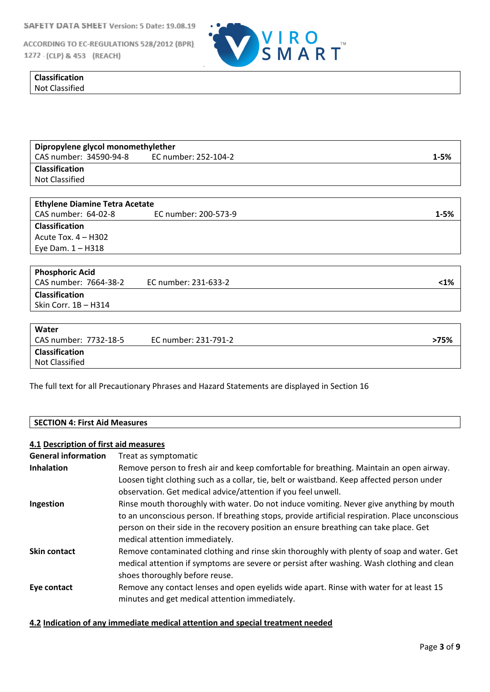ACCORDING TO EC-REGULATIONS 528/2012 (BPR) 1272 (CLP) & 453 (REACH)



| - - - -<br>. |  |  |  |
|--------------|--|--|--|
| . .          |  |  |  |

| Dipropylene glycol monomethylether |                      |          |
|------------------------------------|----------------------|----------|
| CAS number: 34590-94-8             | EC number: 252-104-2 | $1 - 5%$ |
| <b>Classification</b>              |                      |          |
| Not Classified                     |                      |          |

| <b>Ethylene Diamine Tetra Acetate</b> |                      |          |
|---------------------------------------|----------------------|----------|
| CAS number: 64-02-8                   | EC number: 200-573-9 | $1 - 5%$ |
| <b>Classification</b>                 |                      |          |
| Acute Tox. $4 - H302$                 |                      |          |
| Eye Dam. 1 - H318                     |                      |          |
|                                       |                      |          |
| <b>Phosphoric Acid</b>                |                      |          |
| CAS number: 7664-38-2                 | EC number: 231-633-2 | $1%$     |
| <b>Classification</b>                 |                      |          |
| Skin Corr. 1B - H314                  |                      |          |
|                                       |                      |          |
| Water                                 |                      |          |
| CAS number: 7732-18-5                 | EC number: 231-791-2 | >75%     |
| <b>Classification</b>                 |                      |          |
| <b>Not Classified</b>                 |                      |          |

The full text for all Precautionary Phrases and Hazard Statements are displayed in Section 16

#### **SECTION 4: First Aid Measures**

#### **4.1 Description of first aid measures**

| Treat as symptomatic                                                                            |
|-------------------------------------------------------------------------------------------------|
| Remove person to fresh air and keep comfortable for breathing. Maintain an open airway.         |
| Loosen tight clothing such as a collar, tie, belt or waistband. Keep affected person under      |
| observation. Get medical advice/attention if you feel unwell.                                   |
| Rinse mouth thoroughly with water. Do not induce vomiting. Never give anything by mouth         |
| to an unconscious person. If breathing stops, provide artificial respiration. Place unconscious |
| person on their side in the recovery position an ensure breathing can take place. Get           |
| medical attention immediately.                                                                  |
| Remove contaminated clothing and rinse skin thoroughly with plenty of soap and water. Get       |
| medical attention if symptoms are severe or persist after washing. Wash clothing and clean      |
| shoes thoroughly before reuse.                                                                  |
| Remove any contact lenses and open eyelids wide apart. Rinse with water for at least 15         |
| minutes and get medical attention immediately.                                                  |
|                                                                                                 |

# **4.2 Indication of any immediate medical attention and special treatment needed**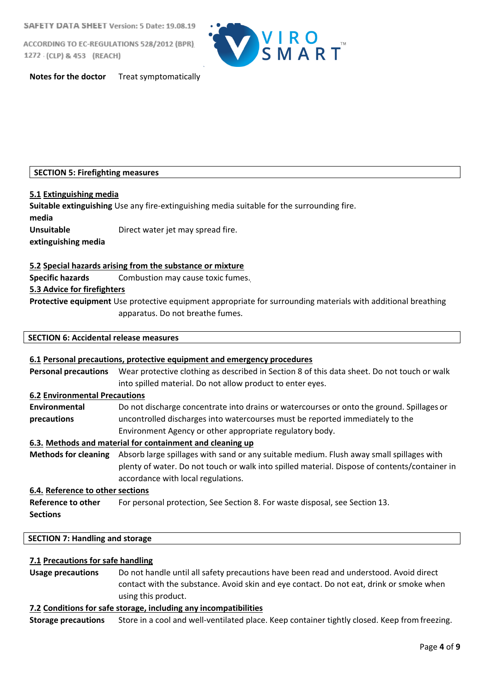ACCORDING TO EC-REGULATIONS 528/2012 (BPR) 1272 (CLP) & 453 (REACH)



**Notes for the doctor** Treat symptomatically

# **SECTION 5: Firefighting measures**

# **5.1 Extinguishing media**

**Suitable extinguishing** Use any fire-extinguishing media suitable for the surrounding fire. **media Unsuitable** Direct water jet may spread fire. **extinguishing media**

# **5.2 Special hazards arising from the substance or mixture**

**Specific hazards** Combustion may cause toxic fumes.

# **5.3 Advice for firefighters**

**Protective equipment** Use protective equipment appropriate for surrounding materials with additional breathing apparatus. Do not breathe fumes.

# **SECTION 6: Accidental release measures**

# **6.1 Personal precautions, protective equipment and emergency procedures Personal precautions** Wear protective clothing as described in Section 8 of this data sheet. Do not touch or walk into spilled material. Do not allow product to enter eyes. **6.2 Environmental Precautions Environmental** Do not discharge concentrate into drains or watercourses or onto the ground. Spillages or **precautions** uncontrolled discharges into watercourses must be reported immediately to the Environment Agency or other appropriate regulatory body. **6.3. Methods and material for containment and cleaning up Methods for cleaning** Absorb large spillages with sand or any suitable medium. Flush away small spillages with plenty of water. Do not touch or walk into spilled material. Dispose of contents/container in accordance with local regulations. **6.4. Reference to other sections Reference to other** For personal protection, See Section 8. For waste disposal, see Section 13.

# **Sections**

# **SECTION 7: Handling and storage**

#### **7.1 Precautions for safe handling**

**Usage precautions** Do not handle until all safety precautions have been read and understood. Avoid direct contact with the substance. Avoid skin and eye contact. Do not eat, drink or smoke when using this product.

#### **7.2 Conditions for safe storage, including any incompatibilities**

**Storage precautions** Store in a cool and well-ventilated place. Keep container tightly closed. Keep fromfreezing.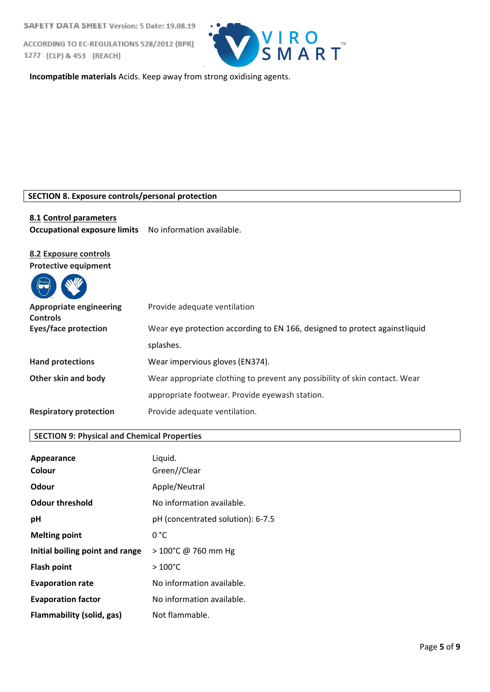ACCORDING TO EC-REGULATIONS 528/2012 (BPR) 1272 (CLP) & 453 (REACH)



**Incompatible materials** Acids. Keep away from strong oxidising agents.

#### **SECTION 8. Exposure controls/personal protection**

#### **8.1 Control parameters**

**Occupational exposure limits** No information available.

# **8.2 Exposure controls**

 $\overline{\phantom{a}}$ 

**Protective equipment**

 $\blacksquare$ 

| $\left(\bigoplus\right)$                          |                                                                            |
|---------------------------------------------------|----------------------------------------------------------------------------|
| <b>Appropriate engineering</b><br><b>Controls</b> | Provide adequate ventilation                                               |
| <b>Eyes/face protection</b>                       | Wear eye protection according to EN 166, designed to protect againstliquid |
|                                                   | splashes.                                                                  |
| <b>Hand protections</b>                           | Wear impervious gloves (EN374).                                            |
| Other skin and body                               | Wear appropriate clothing to prevent any possibility of skin contact. Wear |
|                                                   | appropriate footwear. Provide eyewash station.                             |
| <b>Respiratory protection</b>                     | Provide adequate ventilation.                                              |

# **SECTION 9: Physical and Chemical Properties**

| Appearance                      | Liquid.                           |
|---------------------------------|-----------------------------------|
| Colour                          | Green//Clear                      |
| Odour                           | Apple/Neutral                     |
| <b>Odour threshold</b>          | No information available.         |
| рH                              | pH (concentrated solution): 6-7.5 |
| <b>Melting point</b>            | 0 °C                              |
| Initial boiling point and range | > 100°C @ 760 mm Hg               |
| <b>Flash point</b>              | $>100^{\circ}$ C                  |
| <b>Evaporation rate</b>         | No information available.         |
| <b>Evaporation factor</b>       | No information available.         |
| Flammability (solid, gas)       | Not flammable.                    |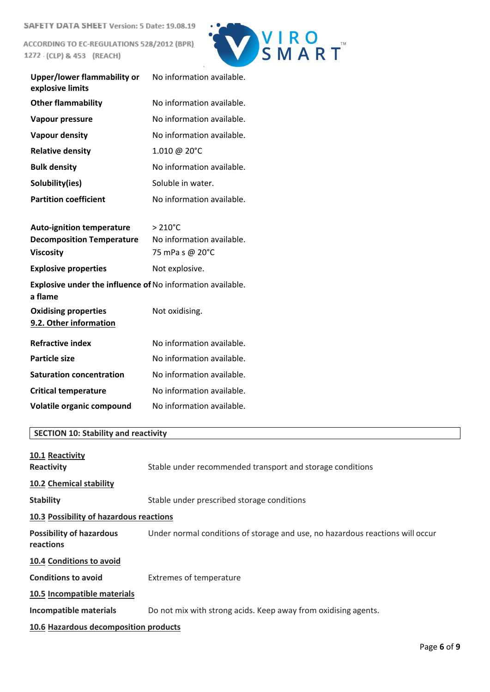ACCORDING TO EC-REGULATIONS 528/2012 (BPR) 1272 (CLP) & 453 (REACH)



| <b>Upper/lower flammability or</b><br>explosive limits                | No information available. |
|-----------------------------------------------------------------------|---------------------------|
| <b>Other flammability</b>                                             | No information available. |
| <b>Vapour pressure</b>                                                | No information available. |
| <b>Vapour density</b>                                                 | No information available. |
| <b>Relative density</b>                                               | 1.010 @ 20°C              |
| <b>Bulk density</b>                                                   | No information available. |
| Solubility(ies)                                                       | Soluble in water.         |
| <b>Partition coefficient</b>                                          | No information available. |
|                                                                       |                           |
| <b>Auto-ignition temperature</b>                                      | $> 210^{\circ}$ C         |
| <b>Decomposition Temperature</b>                                      | No information available. |
| <b>Viscosity</b>                                                      | 75 mPa s @ 20°C           |
| <b>Explosive properties</b>                                           | Not explosive.            |
| Explosive under the influence of No information available.<br>a flame |                           |
| <b>Oxidising properties</b>                                           | Not oxidising.            |
| 9.2. Other information                                                |                           |
| <b>Refractive index</b>                                               | No information available. |
| <b>Particle size</b>                                                  | No information available. |
| <b>Saturation concentration</b>                                       | No information available. |
| <b>Critical temperature</b>                                           | No information available. |
| Volatile organic compound                                             | No information available. |

# **SECTION 10: Stability and reactivity**

| 10.1 Reactivity<br>Reactivity                | Stable under recommended transport and storage conditions                     |
|----------------------------------------------|-------------------------------------------------------------------------------|
| 10.2 Chemical stability                      |                                                                               |
| <b>Stability</b>                             | Stable under prescribed storage conditions                                    |
| 10.3 Possibility of hazardous reactions      |                                                                               |
| <b>Possibility of hazardous</b><br>reactions | Under normal conditions of storage and use, no hazardous reactions will occur |
| 10.4 Conditions to avoid                     |                                                                               |
| <b>Conditions to avoid</b>                   | <b>Extremes of temperature</b>                                                |
| 10.5 Incompatible materials                  |                                                                               |
| Incompatible materials                       | Do not mix with strong acids. Keep away from oxidising agents.                |
| 10.6 Hazardous decomposition products        |                                                                               |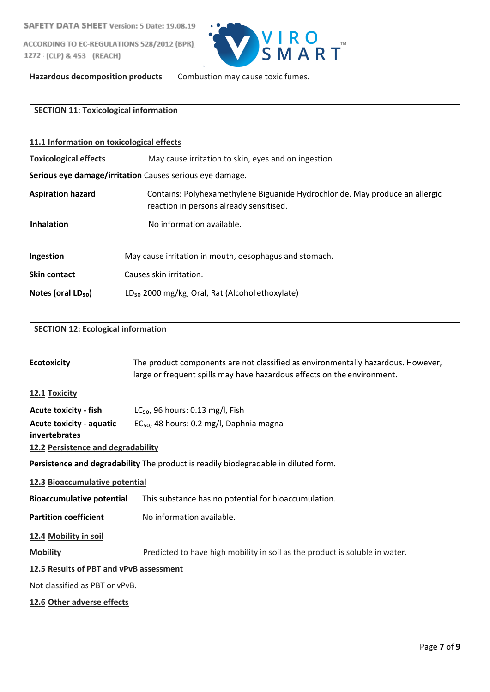ACCORDING TO EC-REGULATIONS 528/2012 (BPR) 1272 (CLP) & 453 (REACH)



**Hazardous decomposition products** Combustion may cause toxic fumes.

# **SECTION 11: Toxicological information**

| 11.1 Information on toxicological effects                |                                                                                                                         |  |  |  |
|----------------------------------------------------------|-------------------------------------------------------------------------------------------------------------------------|--|--|--|
| <b>Toxicological effects</b>                             | May cause irritation to skin, eyes and on ingestion                                                                     |  |  |  |
| Serious eye damage/irritation Causes serious eye damage. |                                                                                                                         |  |  |  |
| <b>Aspiration hazard</b>                                 | Contains: Polyhexamethylene Biguanide Hydrochloride. May produce an allergic<br>reaction in persons already sensitised. |  |  |  |
| <b>Inhalation</b>                                        | No information available.                                                                                               |  |  |  |
| Ingestion                                                | May cause irritation in mouth, oesophagus and stomach.                                                                  |  |  |  |
| Skin contact                                             | Causes skin irritation.                                                                                                 |  |  |  |
| Notes (oral LD <sub>50</sub> )                           | LD <sub>50</sub> 2000 mg/kg, Oral, Rat (Alcohol ethoxylate)                                                             |  |  |  |

# **SECTION 12: Ecological information**

| <b>Ecotoxicity</b>                      | The product components are not classified as environmentally hazardous. However,    |  |  |  |
|-----------------------------------------|-------------------------------------------------------------------------------------|--|--|--|
|                                         | large or frequent spills may have hazardous effects on the environment.             |  |  |  |
|                                         |                                                                                     |  |  |  |
| 12.1 Toxicity                           |                                                                                     |  |  |  |
| <b>Acute toxicity - fish</b>            | $LC_{50}$ , 96 hours: 0.13 mg/l, Fish                                               |  |  |  |
| <b>Acute toxicity - aquatic</b>         | EC <sub>50</sub> , 48 hours: 0.2 mg/l, Daphnia magna                                |  |  |  |
| invertebrates                           |                                                                                     |  |  |  |
| 12.2 Persistence and degradability      |                                                                                     |  |  |  |
|                                         | Persistence and degradability The product is readily biodegradable in diluted form. |  |  |  |
| 12.3 Bioaccumulative potential          |                                                                                     |  |  |  |
| <b>Bioaccumulative potential</b>        | This substance has no potential for bioaccumulation.                                |  |  |  |
| <b>Partition coefficient</b>            | No information available.                                                           |  |  |  |
| 12.4 Mobility in soil                   |                                                                                     |  |  |  |
| <b>Mobility</b>                         | Predicted to have high mobility in soil as the product is soluble in water.         |  |  |  |
| 12.5 Results of PBT and vPvB assessment |                                                                                     |  |  |  |
| Not classified as PBT or vPvB.          |                                                                                     |  |  |  |
| 12.6 Other adverse effects              |                                                                                     |  |  |  |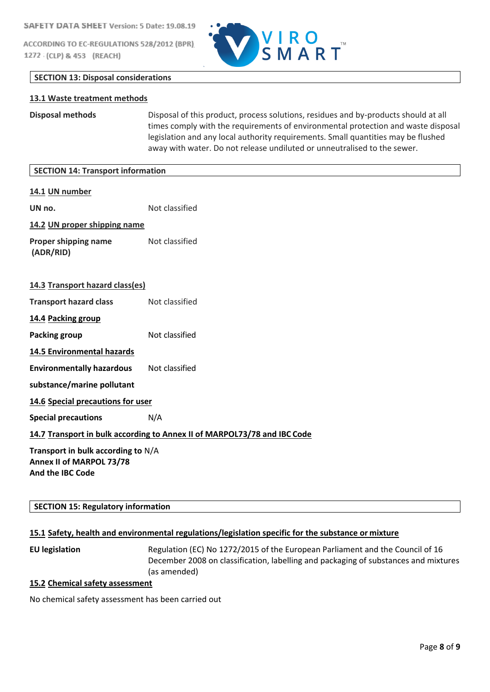ACCORDING TO EC-REGULATIONS 528/2012 (BPR) 1272 (CLP) & 453 (REACH)



## **SECTION 13: Disposal considerations**

#### **13.1 Waste treatment methods**

**Disposal methods** Disposal of this product, process solutions, residues and by-products should at all times comply with the requirements of environmental protection and waste disposal legislation and any local authority requirements. Small quantities may be flushed away with water. Do not release undiluted or unneutralised to the sewer.

| <b>SECTION 14: Transport information</b>                                                  |                                                                          |
|-------------------------------------------------------------------------------------------|--------------------------------------------------------------------------|
| 14.1 UN number                                                                            |                                                                          |
| UN no.                                                                                    | Not classified                                                           |
| 14.2 UN proper shipping name                                                              |                                                                          |
| Proper shipping name<br>(ADR/RID)                                                         | Not classified                                                           |
| 14.3 Transport hazard class(es)                                                           |                                                                          |
| <b>Transport hazard class</b>                                                             | Not classified                                                           |
| 14.4 Packing group                                                                        |                                                                          |
| <b>Packing group</b>                                                                      | Not classified                                                           |
| <b>14.5 Environmental hazards</b>                                                         |                                                                          |
| <b>Environmentally hazardous</b>                                                          | Not classified                                                           |
| substance/marine pollutant                                                                |                                                                          |
| 14.6 Special precautions for user                                                         |                                                                          |
| <b>Special precautions</b>                                                                | N/A                                                                      |
|                                                                                           | 14.7 Transport in bulk according to Annex II of MARPOL73/78 and IBC Code |
| Transport in bulk according to N/A<br>Annex II of MARPOL 73/78<br><b>And the IBC Code</b> |                                                                          |

#### **SECTION 15: Regulatory information**

#### **15.1 Safety, health and environmental regulations/legislation specific for the substance or mixture**

**EU legislation** Regulation (EC) No 1272/2015 of the European Parliament and the Council of 16 December 2008 on classification, labelling and packaging of substances and mixtures (as amended)

# **15.2 Chemical safety assessment**

No chemical safety assessment has been carried out